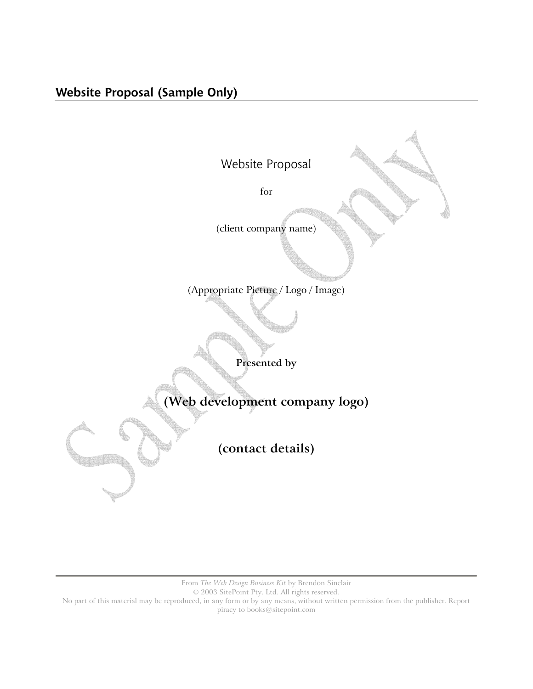

From *The Web Design Business Kit* by Brendon Sinclair

© 2003 SitePoint Pty. Ltd. All rights reserved.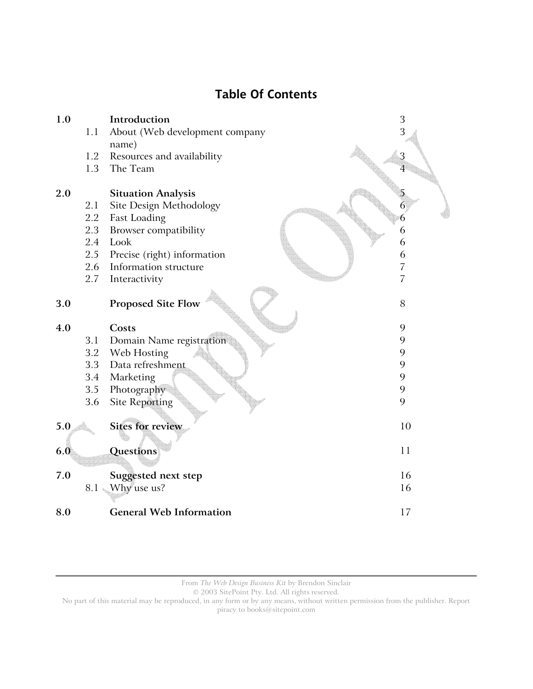# **Table Of Contents**



From *The Web Design Business Kit* by Brendon Sinclair

© 2003 SitePoint Pty. Ltd. All rights reserved.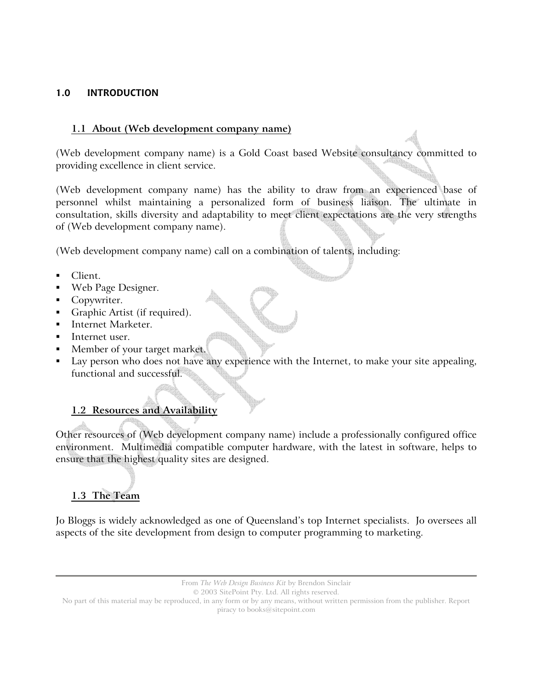### **1.0 INTRODUCTION**

#### **1.1 About (Web development company name)**

(Web development company name) is a Gold Coast based Website consultancy committed to providing excellence in client service.

(Web development company name) has the ability to draw from an experienced base of personnel whilst maintaining a personalized form of business liaison. The ultimate in consultation, skills diversity and adaptability to meet client expectations are the very strengths of (Web development company name).

(Web development company name) call on a combination of talents, including:

- Client.
- Web Page Designer.
- Copywriter.
- Graphic Artist (if required).
- Internet Marketer.
- Internet user.
- Member of your target market.
- Lay person who does not have any experience with the Internet, to make your site appealing, functional and successful.

# **1.2 Resources and Availability**

Other resources of (Web development company name) include a professionally configured office environment. Multimedia compatible computer hardware, with the latest in software, helps to ensure that the highest quality sites are designed.

# **1.3 The Team**

Jo Bloggs is widely acknowledged as one of Queensland's top Internet specialists. Jo oversees all aspects of the site development from design to computer programming to marketing.

From *The Web Design Business Kit* by Brendon Sinclair

© 2003 SitePoint Pty. Ltd. All rights reserved.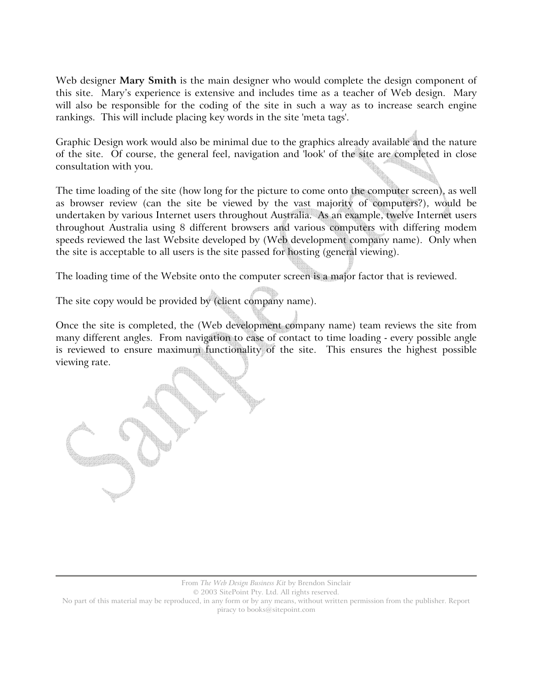Web designer **Mary Smith** is the main designer who would complete the design component of this site. Mary's experience is extensive and includes time as a teacher of Web design. Mary will also be responsible for the coding of the site in such a way as to increase search engine rankings. This will include placing key words in the site 'meta tags'.

Graphic Design work would also be minimal due to the graphics already available and the nature of the site. Of course, the general feel, navigation and 'look' of the site are completed in close consultation with you.

The time loading of the site (how long for the picture to come onto the computer screen), as well as browser review (can the site be viewed by the vast majority of computers?), would be undertaken by various Internet users throughout Australia. As an example, twelve Internet users throughout Australia using 8 different browsers and various computers with differing modem speeds reviewed the last Website developed by (Web development company name). Only when the site is acceptable to all users is the site passed for hosting (general viewing).

The loading time of the Website onto the computer screen is a major factor that is reviewed.

The site copy would be provided by (client company name).

Once the site is completed, the (Web development company name) team reviews the site from many different angles. From navigation to ease of contact to time loading - every possible angle is reviewed to ensure maximum functionality of the site. This ensures the highest possible viewing rate.

From *The Web Design Business Kit* by Brendon Sinclair

© 2003 SitePoint Pty. Ltd. All rights reserved.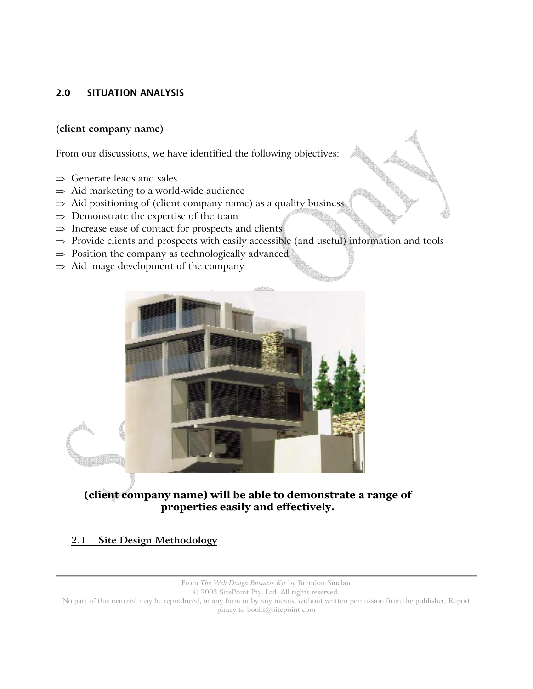# **2.0 SITUATION ANALYSIS**

#### **(client company name)**

From our discussions, we have identified the following objectives:

- ⇒ Generate leads and sales
- $\Rightarrow$  Aid marketing to a world-wide audience
- $\Rightarrow$  Aid positioning of (client company name) as a quality business
- $\Rightarrow$  Demonstrate the expertise of the team
- $\Rightarrow$  Increase ease of contact for prospects and clients
- ⇒ Provide clients and prospects with easily accessible (and useful) information and tools
- $\Rightarrow$  Position the company as technologically advanced
- $\Rightarrow$  Aid image development of the company



**(client company name) will be able to demonstrate a range of properties easily and effectively.** 

# **2.1 Site Design Methodology**

From *The Web Design Business Kit* by Brendon Sinclair

© 2003 SitePoint Pty. Ltd. All rights reserved.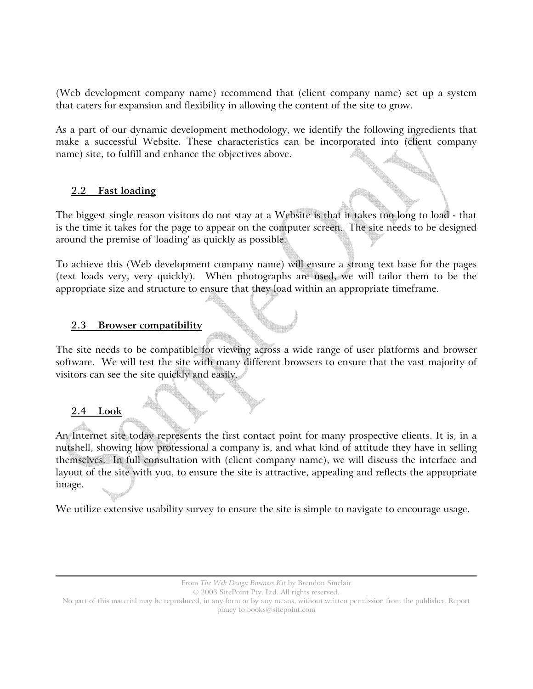(Web development company name) recommend that (client company name) set up a system that caters for expansion and flexibility in allowing the content of the site to grow.

As a part of our dynamic development methodology, we identify the following ingredients that make a successful Website. These characteristics can be incorporated into (client company name) site, to fulfill and enhance the objectives above.

#### **2.2 Fast loading**

The biggest single reason visitors do not stay at a Website is that it takes too long to load - that is the time it takes for the page to appear on the computer screen. The site needs to be designed around the premise of 'loading' as quickly as possible.

To achieve this (Web development company name) will ensure a strong text base for the pages (text loads very, very quickly). When photographs are used, we will tailor them to be the appropriate size and structure to ensure that they load within an appropriate timeframe.

#### **2.3 Browser compatibility**

The site needs to be compatible for viewing across a wide range of user platforms and browser software. We will test the site with many different browsers to ensure that the vast majority of visitors can see the site quickly and easily.

# **2.4 Look**

An Internet site today represents the first contact point for many prospective clients. It is, in a nutshell, showing how professional a company is, and what kind of attitude they have in selling themselves. In full consultation with (client company name), we will discuss the interface and layout of the site with you, to ensure the site is attractive, appealing and reflects the appropriate image.

We utilize extensive usability survey to ensure the site is simple to navigate to encourage usage.

© 2003 SitePoint Pty. Ltd. All rights reserved.

From *The Web Design Business Kit* by Brendon Sinclair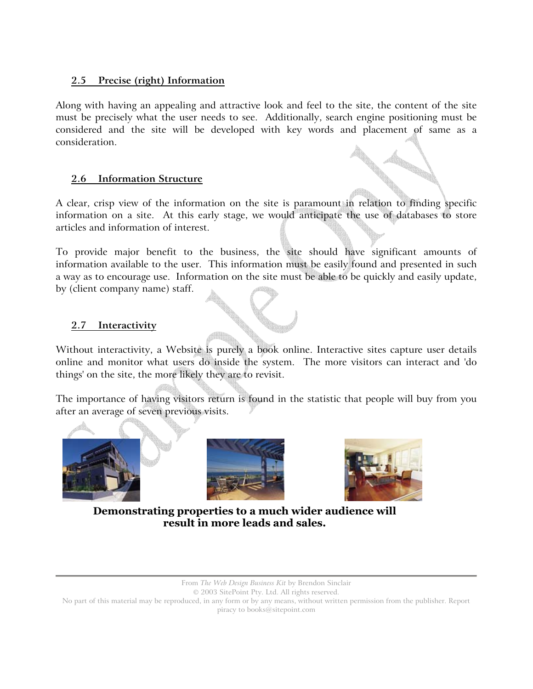# **2.5 Precise (right) Information**

Along with having an appealing and attractive look and feel to the site, the content of the site must be precisely what the user needs to see. Additionally, search engine positioning must be considered and the site will be developed with key words and placement of same as a consideration.

# **2.6 Information Structure**

A clear, crisp view of the information on the site is paramount in relation to finding specific information on a site. At this early stage, we would anticipate the use of databases to store articles and information of interest.

To provide major benefit to the business, the site should have significant amounts of information available to the user. This information must be easily found and presented in such a way as to encourage use. Information on the site must be able to be quickly and easily update, by (client company name) staff.

# **2.7 Interactivity**

Without interactivity, a Website is purely a book online. Interactive sites capture user details online and monitor what users do inside the system. The more visitors can interact and 'do things' on the site, the more likely they are to revisit.

The importance of having visitors return is found in the statistic that people will buy from you after an average of seven previous visits.







**Demonstrating properties to a much wider audience will result in more leads and sales.** 

From *The Web Design Business Kit* by Brendon Sinclair

© 2003 SitePoint Pty. Ltd. All rights reserved.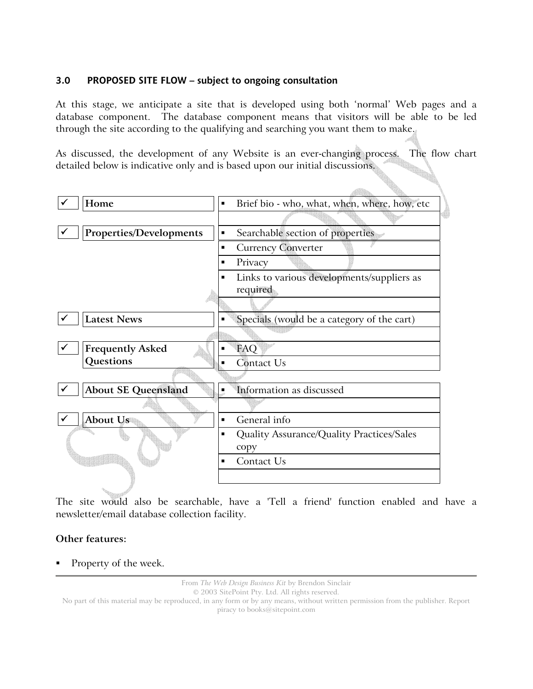#### **3.0 PROPOSED SITE FLOW – subject to ongoing consultation**

At this stage, we anticipate a site that is developed using both 'normal' Web pages and a database component. The database component means that visitors will be able to be led through the site according to the qualifying and searching you want them to make.

As discussed, the development of any Website is an ever-changing process. The flow chart detailed below is indicative only and is based upon our initial discussions.



The site would also be searchable, have a 'Tell a friend' function enabled and have a newsletter/email database collection facility.

# **Other features:**

Property of the week.

From *The Web Design Business Kit* by Brendon Sinclair

© 2003 SitePoint Pty. Ltd. All rights reserved.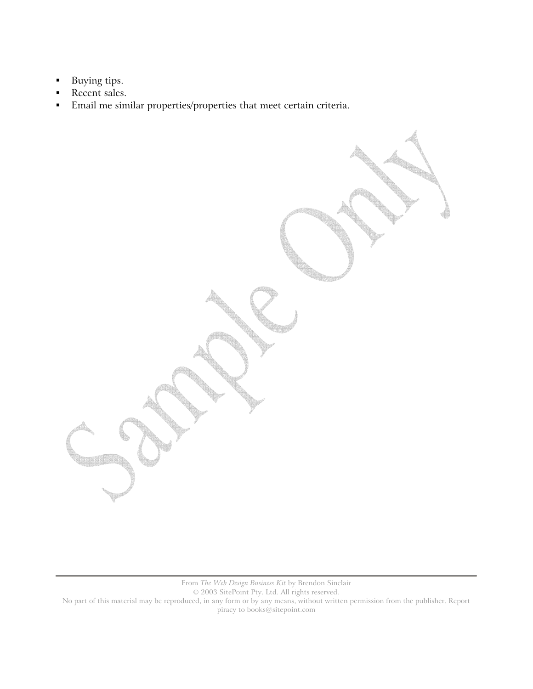- **Buying tips.**
- Recent sales.
- Email me similar properties/properties that meet certain criteria.

From *The Web Design Business Kit* by Brendon Sinclair

© 2003 SitePoint Pty. Ltd. All rights reserved.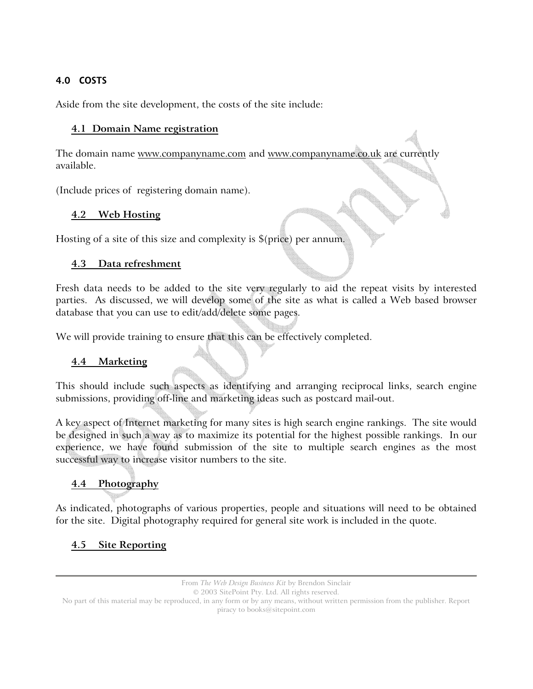# **4.0 COSTS**

Aside from the site development, the costs of the site include:

### **4.1 Domain Name registration**

The domain name www.companyname.com and www.companyname.co.uk are currently available.

(Include prices of registering domain name).

# **4.2 Web Hosting**

Hosting of a site of this size and complexity is \$(price) per annum.

# **4.3 Data refreshment**

Fresh data needs to be added to the site very regularly to aid the repeat visits by interested parties. As discussed, we will develop some of the site as what is called a Web based browser database that you can use to edit/add/delete some pages.

We will provide training to ensure that this can be effectively completed.

# **4.4 Marketing**

This should include such aspects as identifying and arranging reciprocal links, search engine submissions, providing off-line and marketing ideas such as postcard mail-out.

A key aspect of Internet marketing for many sites is high search engine rankings. The site would be designed in such a way as to maximize its potential for the highest possible rankings. In our experience, we have found submission of the site to multiple search engines as the most successful way to increase visitor numbers to the site.

# **4.4 Photography**

As indicated, photographs of various properties, people and situations will need to be obtained for the site. Digital photography required for general site work is included in the quote.

# **4.5 Site Reporting**

```
© 2003 SitePoint Pty. Ltd. All rights reserved.
```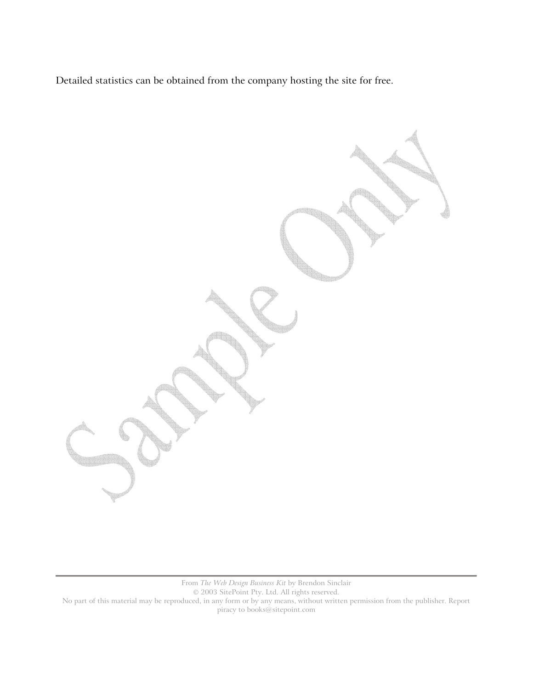Detailed statistics can be obtained from the company hosting the site for free.

From *The Web Design Business Kit* by Brendon Sinclair

© 2003 SitePoint Pty. Ltd. All rights reserved.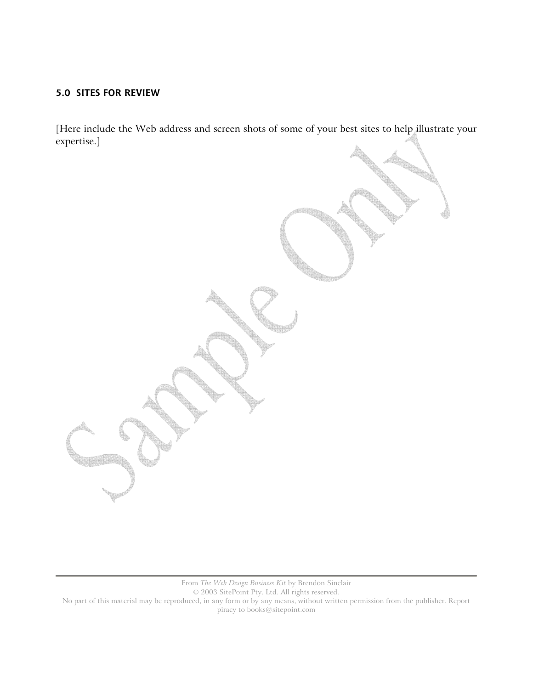### **5.0 SITES FOR REVIEW**

[Here include the Web address and screen shots of some of your best sites to help illustrate your expertise.]

From *The Web Design Business Kit* by Brendon Sinclair

© 2003 SitePoint Pty. Ltd. All rights reserved.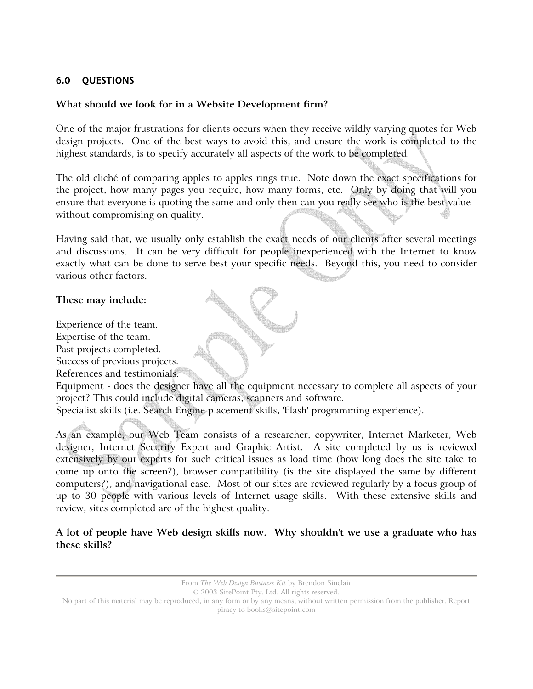# **6.0 QUESTIONS**

#### **What should we look for in a Website Development firm?**

One of the major frustrations for clients occurs when they receive wildly varying quotes for Web design projects. One of the best ways to avoid this, and ensure the work is completed to the highest standards, is to specify accurately all aspects of the work to be completed.

The old cliché of comparing apples to apples rings true. Note down the exact specifications for the project, how many pages you require, how many forms, etc. Only by doing that will you ensure that everyone is quoting the same and only then can you really see who is the best value without compromising on quality.

Having said that, we usually only establish the exact needs of our clients after several meetings and discussions. It can be very difficult for people inexperienced with the Internet to know exactly what can be done to serve best your specific needs. Beyond this, you need to consider various other factors.

#### **These may include:**

Experience of the team.

Expertise of the team.

Past projects completed.

Success of previous projects.

References and testimonials.

Equipment - does the designer have all the equipment necessary to complete all aspects of your project? This could include digital cameras, scanners and software.

Specialist skills (i.e. Search Engine placement skills, 'Flash' programming experience).

As an example, our Web Team consists of a researcher, copywriter, Internet Marketer, Web designer, Internet Security Expert and Graphic Artist. A site completed by us is reviewed extensively by our experts for such critical issues as load time (how long does the site take to come up onto the screen?), browser compatibility (is the site displayed the same by different computers?), and navigational ease. Most of our sites are reviewed regularly by a focus group of up to 30 people with various levels of Internet usage skills. With these extensive skills and review, sites completed are of the highest quality.

#### **A lot of people have Web design skills now. Why shouldn't we use a graduate who has these skills?**

© 2003 SitePoint Pty. Ltd. All rights reserved.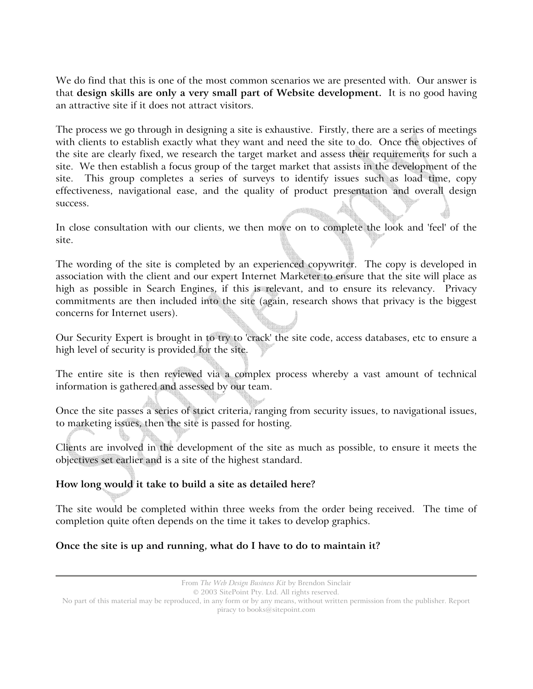We do find that this is one of the most common scenarios we are presented with. Our answer is that **design skills are only a very small part of Website development.** It is no good having an attractive site if it does not attract visitors.

The process we go through in designing a site is exhaustive. Firstly, there are a series of meetings with clients to establish exactly what they want and need the site to do. Once the objectives of the site are clearly fixed, we research the target market and assess their requirements for such a site. We then establish a focus group of the target market that assists in the development of the site. This group completes a series of surveys to identify issues such as load time, copy effectiveness, navigational ease, and the quality of product presentation and overall design success.

In close consultation with our clients, we then move on to complete the look and 'feel' of the site.

The wording of the site is completed by an experienced copywriter. The copy is developed in association with the client and our expert Internet Marketer to ensure that the site will place as high as possible in Search Engines, if this is relevant, and to ensure its relevancy. Privacy commitments are then included into the site (again, research shows that privacy is the biggest concerns for Internet users).

Our Security Expert is brought in to try to 'crack' the site code, access databases, etc to ensure a high level of security is provided for the site.

The entire site is then reviewed via a complex process whereby a vast amount of technical information is gathered and assessed by our team.

Once the site passes a series of strict criteria, ranging from security issues, to navigational issues, to marketing issues, then the site is passed for hosting.

Clients are involved in the development of the site as much as possible, to ensure it meets the objectives set earlier and is a site of the highest standard.

# **How long would it take to build a site as detailed here?**

The site would be completed within three weeks from the order being received. The time of completion quite often depends on the time it takes to develop graphics.

# **Once the site is up and running, what do I have to do to maintain it?**

<sup>© 2003</sup> SitePoint Pty. Ltd. All rights reserved.